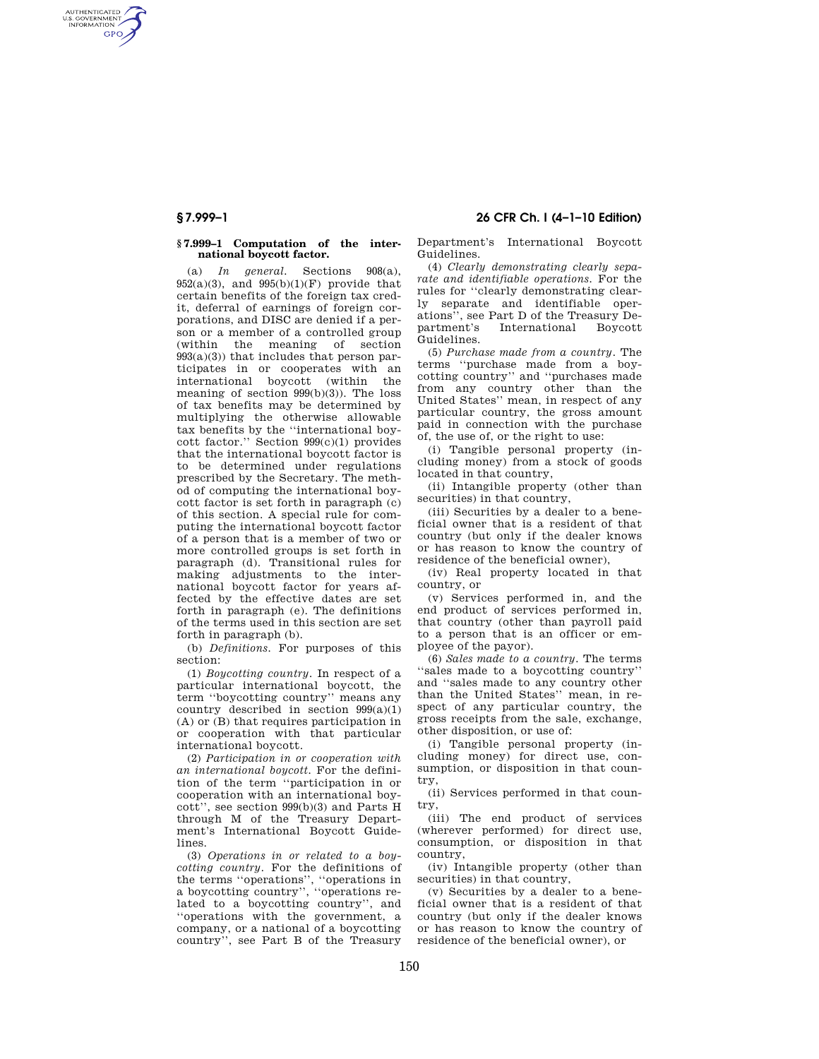AUTHENTICATED<br>U.S. GOVERNMENT<br>INFORMATION **GPO** 

#### **§ 7.999–1 Computation of the international boycott factor.**

(a) *In general.* Sections 908(a),  $952(a)(3)$ , and  $995(b)(1)(F)$  provide that certain benefits of the foreign tax credit, deferral of earnings of foreign corporations, and DISC are denied if a person or a member of a controlled group (within the meaning of section  $993(a)(3)$  that includes that person participates in or cooperates with an international boycott (within the meaning of section 999(b)(3)). The loss of tax benefits may be determined by multiplying the otherwise allowable tax benefits by the ''international boycott factor.'' Section 999(c)(1) provides that the international boycott factor is to be determined under regulations prescribed by the Secretary. The method of computing the international boycott factor is set forth in paragraph (c) of this section. A special rule for computing the international boycott factor of a person that is a member of two or more controlled groups is set forth in paragraph (d). Transitional rules for making adjustments to the international boycott factor for years affected by the effective dates are set forth in paragraph (e). The definitions of the terms used in this section are set forth in paragraph (b).

(b) *Definitions.* For purposes of this section:

(1) *Boycotting country.* In respect of a particular international boycott, the term ''boycotting country'' means any country described in section  $999(a)(1)$ (A) or (B) that requires participation in or cooperation with that particular international boycott.

(2) *Participation in or cooperation with an international boycott.* For the definition of the term ''participation in or cooperation with an international boycott'', see section 999(b)(3) and Parts H through M of the Treasury Department's International Boycott Guidelines.

(3) *Operations in or related to a boycotting country.* For the definitions of the terms ''operations'', ''operations in a boycotting country'', ''operations related to a boycotting country'', and ''operations with the government, a company, or a national of a boycotting country'', see Part B of the Treasury

# **§ 7.999–1 26 CFR Ch. I (4–1–10 Edition)**

Department's International Boycott Guidelines.

(4) *Clearly demonstrating clearly separate and identifiable operations.* For the rules for ''clearly demonstrating clearly separate and identifiable operations'', see Part D of the Treasury De-International Boycott Guidelines.

(5) *Purchase made from a country.* The terms ''purchase made from a boycotting country'' and ''purchases made from any country other than the United States'' mean, in respect of any particular country, the gross amount paid in connection with the purchase of, the use of, or the right to use:

(i) Tangible personal property (including money) from a stock of goods located in that country,

(ii) Intangible property (other than securities) in that country,

(iii) Securities by a dealer to a beneficial owner that is a resident of that country (but only if the dealer knows or has reason to know the country of residence of the beneficial owner),

(iv) Real property located in that country, or

(v) Services performed in, and the end product of services performed in, that country (other than payroll paid to a person that is an officer or employee of the payor).

(6) *Sales made to a country.* The terms ''sales made to a boycotting country'' and ''sales made to any country other than the United States'' mean, in respect of any particular country, the gross receipts from the sale, exchange, other disposition, or use of:

(i) Tangible personal property (including money) for direct use, consumption, or disposition in that country,

(ii) Services performed in that country,

(iii) The end product of services (wherever performed) for direct use, consumption, or disposition in that country,

(iv) Intangible property (other than securities) in that country,

(v) Securities by a dealer to a beneficial owner that is a resident of that country (but only if the dealer knows or has reason to know the country of residence of the beneficial owner), or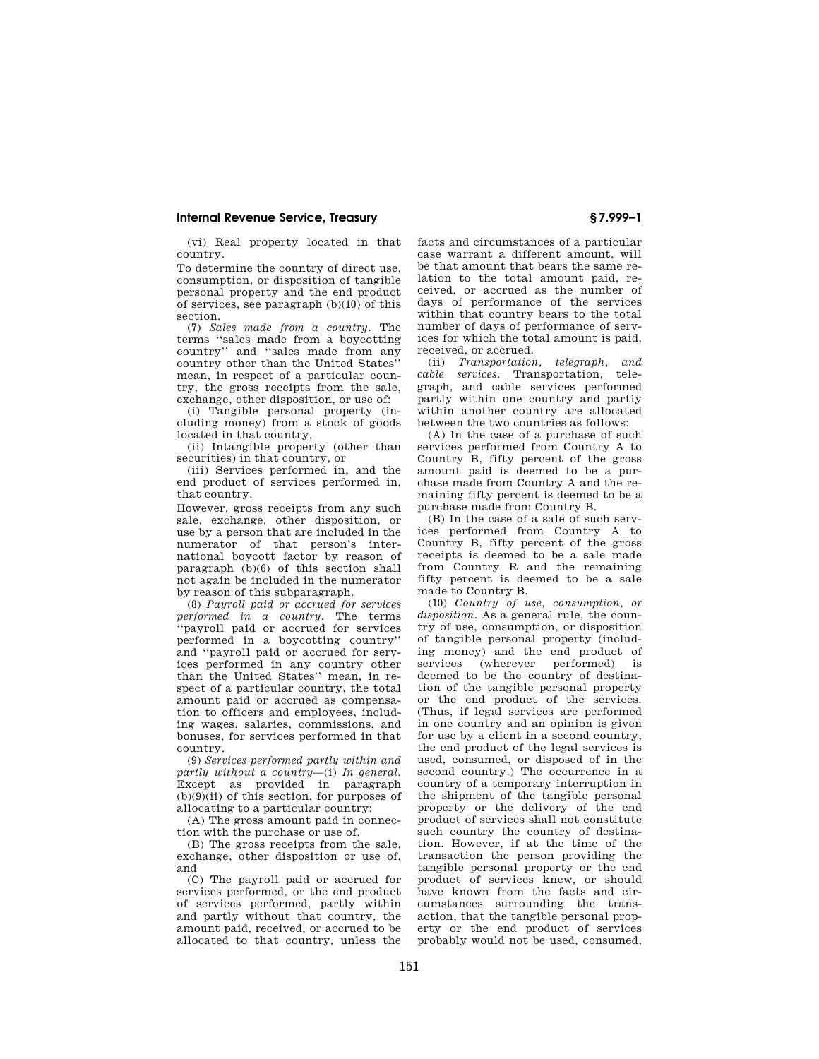### **Internal Revenue Service, Treasury § 7.999–1**

(vi) Real property located in that country.

To determine the country of direct use, consumption, or disposition of tangible personal property and the end product of services, see paragraph (b)(10) of this section.

(7) *Sales made from a country.* The terms ''sales made from a boycotting country'' and ''sales made from any country other than the United States'' mean, in respect of a particular country, the gross receipts from the sale, exchange, other disposition, or use of:

(i) Tangible personal property (including money) from a stock of goods located in that country,

(ii) Intangible property (other than securities) in that country, or

(iii) Services performed in, and the end product of services performed in, that country.

However, gross receipts from any such sale, exchange, other disposition, or use by a person that are included in the numerator of that person's international boycott factor by reason of paragraph (b)(6) of this section shall not again be included in the numerator by reason of this subparagraph.

(8) *Payroll paid or accrued for services performed in a country.* The terms 'payroll paid or accrued for services performed in a boycotting country'' and ''payroll paid or accrued for services performed in any country other than the United States'' mean, in respect of a particular country, the total amount paid or accrued as compensation to officers and employees, including wages, salaries, commissions, and bonuses, for services performed in that country.

(9) *Services performed partly within and partly without a country*—(i) *In general.*  Except as provided in paragraph  $(b)(9)(ii)$  of this section, for purposes of allocating to a particular country:

(A) The gross amount paid in connection with the purchase or use of,

(B) The gross receipts from the sale, exchange, other disposition or use of, and

(C) The payroll paid or accrued for services performed, or the end product of services performed, partly within and partly without that country, the amount paid, received, or accrued to be allocated to that country, unless the

facts and circumstances of a particular case warrant a different amount, will be that amount that bears the same relation to the total amount paid, received, or accrued as the number of days of performance of the services within that country bears to the total number of days of performance of services for which the total amount is paid, received, or accrued.

(ii) *Transportation, telegraph, and cable services.* Transportation, telegraph, and cable services performed partly within one country and partly within another country are allocated between the two countries as follows:

(A) In the case of a purchase of such services performed from Country A to Country B, fifty percent of the gross amount paid is deemed to be a purchase made from Country A and the remaining fifty percent is deemed to be a purchase made from Country B.

(B) In the case of a sale of such services performed from Country A to Country B, fifty percent of the gross receipts is deemed to be a sale made from Country R and the remaining fifty percent is deemed to be a sale made to Country B.

(10) *Country of use, consumption, or disposition.* As a general rule, the country of use, consumption, or disposition of tangible personal property (including money) and the end product of<br>services (wherever performed) is (wherever performed) is deemed to be the country of destination of the tangible personal property or the end product of the services. (Thus, if legal services are performed in one country and an opinion is given for use by a client in a second country, the end product of the legal services is used, consumed, or disposed of in the second country.) The occurrence in a country of a temporary interruption in the shipment of the tangible personal property or the delivery of the end product of services shall not constitute such country the country of destination. However, if at the time of the transaction the person providing the tangible personal property or the end product of services knew, or should have known from the facts and circumstances surrounding the transaction, that the tangible personal property or the end product of services probably would not be used, consumed,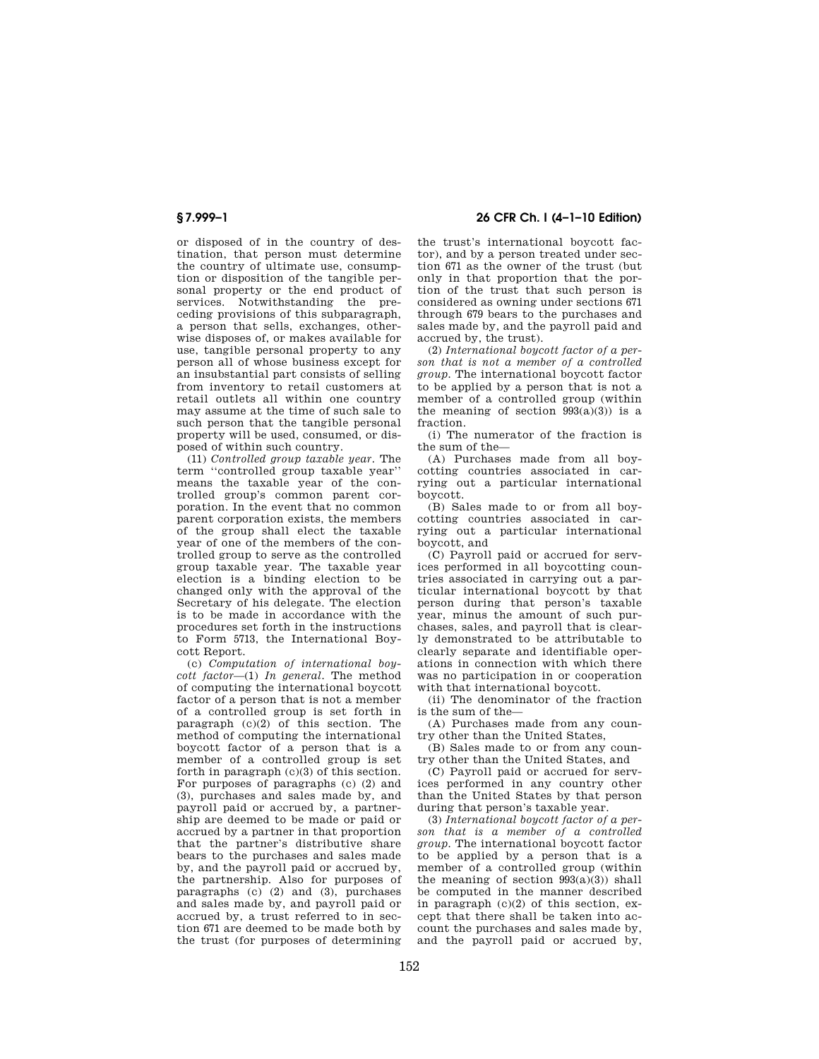or disposed of in the country of destination, that person must determine the country of ultimate use, consumption or disposition of the tangible personal property or the end product of services. Notwithstanding the preceding provisions of this subparagraph, a person that sells, exchanges, otherwise disposes of, or makes available for use, tangible personal property to any person all of whose business except for an insubstantial part consists of selling from inventory to retail customers at retail outlets all within one country may assume at the time of such sale to such person that the tangible personal property will be used, consumed, or disposed of within such country.

(11) *Controlled group taxable year.* The term ''controlled group taxable year'' means the taxable year of the controlled group's common parent corporation. In the event that no common parent corporation exists, the members of the group shall elect the taxable year of one of the members of the controlled group to serve as the controlled group taxable year. The taxable year election is a binding election to be changed only with the approval of the Secretary of his delegate. The election is to be made in accordance with the procedures set forth in the instructions to Form 5713, the International Boycott Report.

(c) *Computation of international boycott factor*—(1) *In general.* The method of computing the international boycott factor of a person that is not a member of a controlled group is set forth in paragraph  $(c)(2)$  of this section. The method of computing the international boycott factor of a person that is a member of a controlled group is set forth in paragraph (c)(3) of this section. For purposes of paragraphs (c) (2) and (3), purchases and sales made by, and payroll paid or accrued by, a partnership are deemed to be made or paid or accrued by a partner in that proportion that the partner's distributive share bears to the purchases and sales made by, and the payroll paid or accrued by, the partnership. Also for purposes of paragraphs (c) (2) and (3), purchases and sales made by, and payroll paid or accrued by, a trust referred to in section 671 are deemed to be made both by the trust (for purposes of determining

# **§ 7.999–1 26 CFR Ch. I (4–1–10 Edition)**

the trust's international boycott factor), and by a person treated under section 671 as the owner of the trust (but only in that proportion that the portion of the trust that such person is considered as owning under sections 671 through 679 bears to the purchases and sales made by, and the payroll paid and accrued by, the trust).

(2) *International boycott factor of a person that is not a member of a controlled group.* The international boycott factor to be applied by a person that is not a member of a controlled group (within the meaning of section  $993(a)(3)$  is a fraction.

(i) The numerator of the fraction is the sum of the—

(A) Purchases made from all boycotting countries associated in carrying out a particular international boycott.

(B) Sales made to or from all boycotting countries associated in carrying out a particular international boycott, and

(C) Payroll paid or accrued for services performed in all boycotting countries associated in carrying out a particular international boycott by that person during that person's taxable year, minus the amount of such purchases, sales, and payroll that is clearly demonstrated to be attributable to clearly separate and identifiable operations in connection with which there was no participation in or cooperation with that international boycott.

(ii) The denominator of the fraction is the sum of the—

(A) Purchases made from any country other than the United States,

(B) Sales made to or from any country other than the United States, and

(C) Payroll paid or accrued for services performed in any country other than the United States by that person during that person's taxable year.

(3) *International boycott factor of a person that is a member of a controlled group.* The international boycott factor to be applied by a person that is a member of a controlled group (within the meaning of section  $993(a)(3)$  shall be computed in the manner described in paragraph (c)(2) of this section, except that there shall be taken into account the purchases and sales made by, and the payroll paid or accrued by,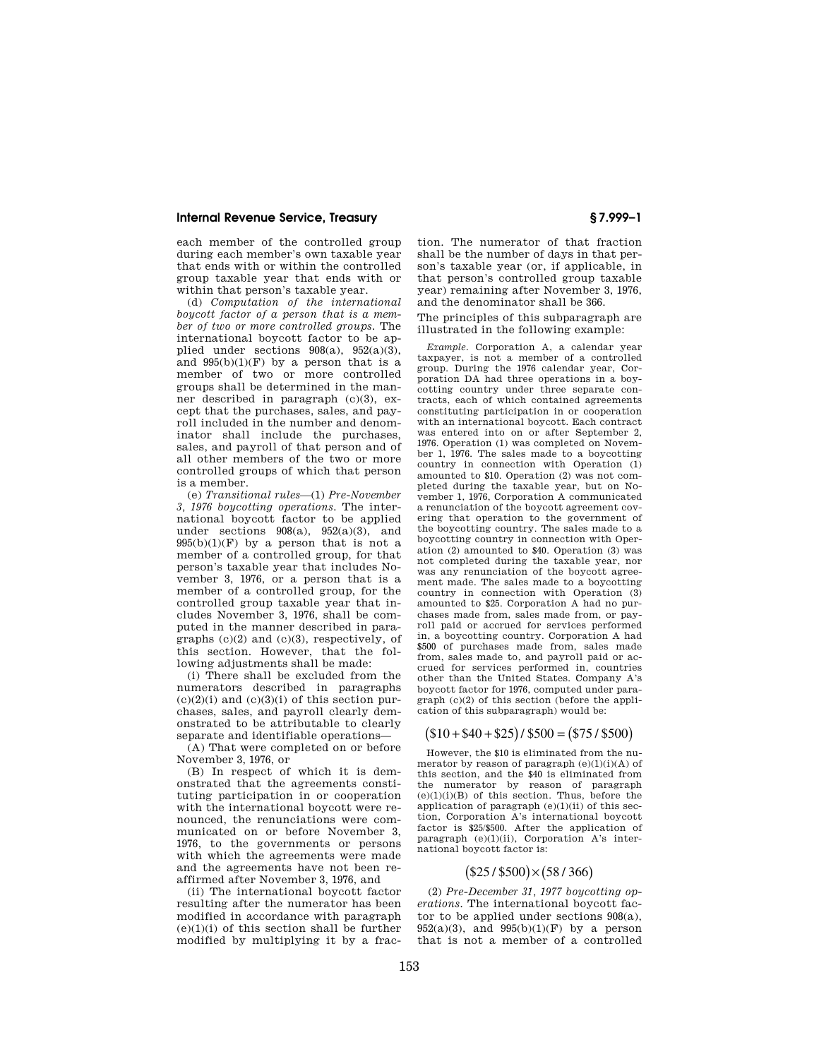### **Internal Revenue Service, Treasury § 7.999–1**

each member of the controlled group during each member's own taxable year that ends with or within the controlled group taxable year that ends with or within that person's taxable year.

(d) *Computation of the international boycott factor of a person that is a member of two or more controlled groups.* The international boycott factor to be applied under sections  $908(a)$ ,  $952(a)(3)$ , and  $995(b)(1)(F)$  by a person that is a member of two or more controlled groups shall be determined in the manner described in paragraph (c)(3), except that the purchases, sales, and payroll included in the number and denominator shall include the purchases, sales, and payroll of that person and of all other members of the two or more controlled groups of which that person is a member.

(e) *Transitional rules*—(1) *Pre-November 3, 1976 boycotting operations.* The international boycott factor to be applied under sections  $908(a)$ ,  $952(a)(3)$ , and  $995(b)(1)(F)$  by a person that is not a member of a controlled group, for that person's taxable year that includes November 3, 1976, or a person that is a member of a controlled group, for the controlled group taxable year that includes November 3, 1976, shall be computed in the manner described in paragraphs  $(c)(2)$  and  $(c)(3)$ , respectively, of this section. However, that the following adjustments shall be made:

(i) There shall be excluded from the numerators described in paragraphs  $(c)(2)(i)$  and  $(c)(3)(i)$  of this section purchases, sales, and payroll clearly demonstrated to be attributable to clearly separate and identifiable operations—

(A) That were completed on or before November 3, 1976, or

(B) In respect of which it is demonstrated that the agreements constituting participation in or cooperation with the international boycott were renounced, the renunciations were communicated on or before November 3, 1976, to the governments or persons with which the agreements were made and the agreements have not been reaffirmed after November 3, 1976, and

(ii) The international boycott factor resulting after the numerator has been modified in accordance with paragraph  $(e)(1)(i)$  of this section shall be further modified by multiplying it by a fraction. The numerator of that fraction shall be the number of days in that person's taxable year (or, if applicable, in that person's controlled group taxable year) remaining after November 3, 1976, and the denominator shall be 366.

The principles of this subparagraph are illustrated in the following example:

*Example.* Corporation A, a calendar year taxpayer, is not a member of a controlled group. During the 1976 calendar year, Corporation DA had three operations in a boycotting country under three separate contracts, each of which contained agreements constituting participation in or cooperation with an international boycott. Each contract was entered into on or after September 2, 1976. Operation (1) was completed on November 1, 1976. The sales made to a boycotting country in connection with Operation (1) amounted to \$10. Operation (2) was not completed during the taxable year, but on November 1, 1976, Corporation A communicated a renunciation of the boycott agreement covering that operation to the government of the boycotting country. The sales made to a boycotting country in connection with Operation (2) amounted to \$40. Operation (3) was not completed during the taxable year, nor was any renunciation of the boycott agreement made. The sales made to a boycotting country in connection with Operation (3) amounted to \$25. Corporation A had no purchases made from, sales made from, or payroll paid or accrued for services performed in, a boycotting country. Corporation A had \$500 of purchases made from, sales made from, sales made to, and payroll paid or accrued for services performed in, countries other than the United States. Company A's boycott factor for 1976, computed under paragraph (c)(2) of this section (before the application of this subparagraph) would be:

# $($10 + $40 + $25)$  /  $$500 = ($75 / $500)$

However, the \$10 is eliminated from the numerator by reason of paragraph  $(e)(1)(i)(A)$  of this section, and the \$40 is eliminated from the numerator by reason of paragraph  $(e)(1)(i)(B)$  of this section. Thus, before the application of paragraph (e)(1)(ii) of this section, Corporation A's international boycott factor is \$25/\$500. After the application of paragraph (e)(1)(ii), Corporation A's international boycott factor is:

# $($25/ $500) \times (58/366)$

(2) *Pre-December 31, 1977 boycotting operations.* The international boycott factor to be applied under sections 908(a),  $952(a)(3)$ , and  $995(b)(1)(F)$  by a person that is not a member of a controlled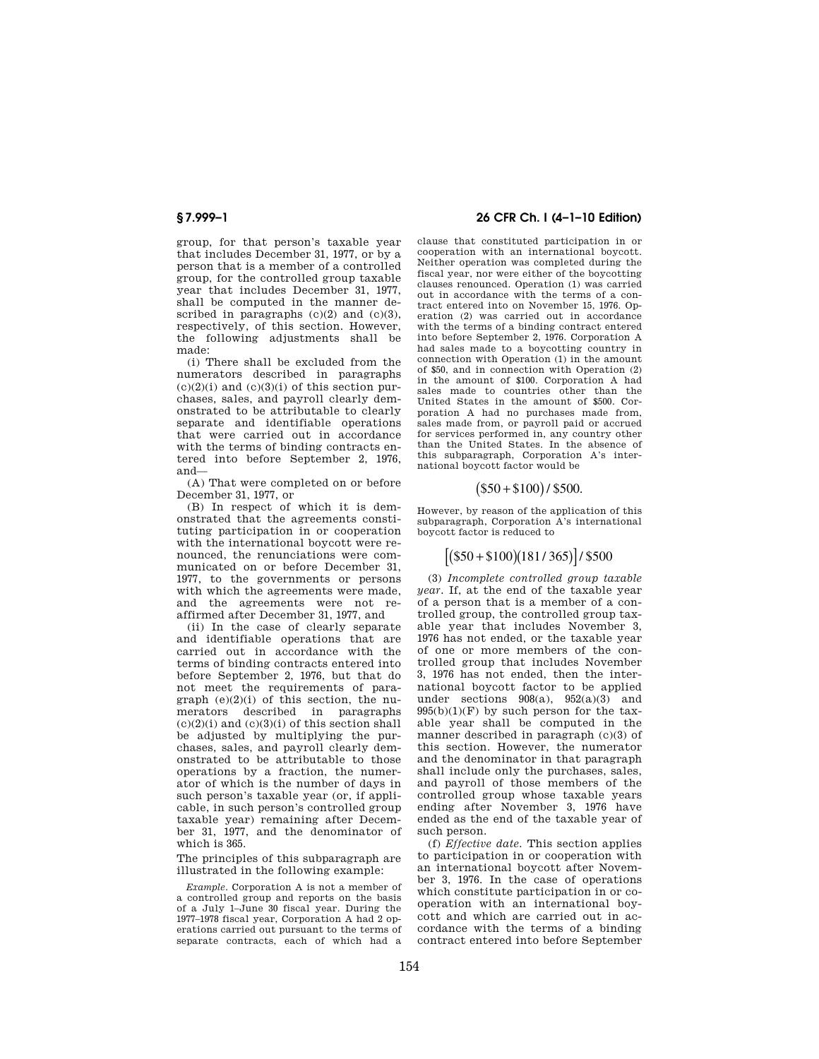group, for that person's taxable year that includes December 31, 1977, or by a person that is a member of a controlled group, for the controlled group taxable year that includes December 31, 1977, shall be computed in the manner described in paragraphs  $(c)(2)$  and  $(c)(3)$ , respectively, of this section. However, the following adjustments shall be made:

(i) There shall be excluded from the numerators described in paragraphs  $(c)(2)(i)$  and  $(c)(3)(i)$  of this section purchases, sales, and payroll clearly demonstrated to be attributable to clearly separate and identifiable operations that were carried out in accordance with the terms of binding contracts entered into before September 2, 1976, and—

(A) That were completed on or before December 31, 1977, or

(B) In respect of which it is demonstrated that the agreements constituting participation in or cooperation with the international boycott were renounced, the renunciations were communicated on or before December 31, 1977, to the governments or persons with which the agreements were made, and the agreements were not reaffirmed after December 31, 1977, and

(ii) In the case of clearly separate and identifiable operations that are carried out in accordance with the terms of binding contracts entered into before September 2, 1976, but that do not meet the requirements of paragraph  $(e)(2)(i)$  of this section, the numerators described in paragraphs  $(c)(2)(i)$  and  $(c)(3)(i)$  of this section shall be adjusted by multiplying the purchases, sales, and payroll clearly demonstrated to be attributable to those operations by a fraction, the numerator of which is the number of days in such person's taxable year (or, if applicable, in such person's controlled group taxable year) remaining after December 31, 1977, and the denominator of which is 365.

The principles of this subparagraph are illustrated in the following example:

*Example.* Corporation A is not a member of a controlled group and reports on the basis of a July 1–June 30 fiscal year. During the 1977–1978 fiscal year, Corporation A had 2 operations carried out pursuant to the terms of separate contracts, each of which had a

# **§ 7.999–1 26 CFR Ch. I (4–1–10 Edition)**

clause that constituted participation in or cooperation with an international boycott. Neither operation was completed during the fiscal year, nor were either of the boycotting clauses renounced. Operation (1) was carried out in accordance with the terms of a contract entered into on November 15, 1976. Operation (2) was carried out in accordance with the terms of a binding contract entered into before September 2, 1976. Corporation A had sales made to a boycotting country in connection with Operation (1) in the amount of \$50, and in connection with Operation (2) in the amount of \$100. Corporation A had sales made to countries other than the United States in the amount of \$500. Corporation A had no purchases made from, sales made from, or payroll paid or accrued for services performed in, any country other than the United States. In the absence of this subparagraph, Corporation A's international boycott factor would be

## $($50 + $100)$  / \$500.

However, by reason of the application of this subparagraph, Corporation A's international boycott factor is reduced to

# $[( $50 + $100)(181/365)]/ $500$

(3) *Incomplete controlled group taxable year.* If, at the end of the taxable year of a person that is a member of a controlled group, the controlled group taxable year that includes November 3, 1976 has not ended, or the taxable year of one or more members of the controlled group that includes November 3, 1976 has not ended, then the international boycott factor to be applied under sections  $908(a)$ ,  $952(a)(3)$  and  $995(b)(1)(F)$  by such person for the taxable year shall be computed in the manner described in paragraph (c)(3) of this section. However, the numerator and the denominator in that paragraph shall include only the purchases, sales, and payroll of those members of the controlled group whose taxable years ending after November 3, 1976 have ended as the end of the taxable year of such person.

(f) *Effective date.* This section applies to participation in or cooperation with an international boycott after November 3, 1976. In the case of operations which constitute participation in or cooperation with an international boycott and which are carried out in accordance with the terms of a binding contract entered into before September